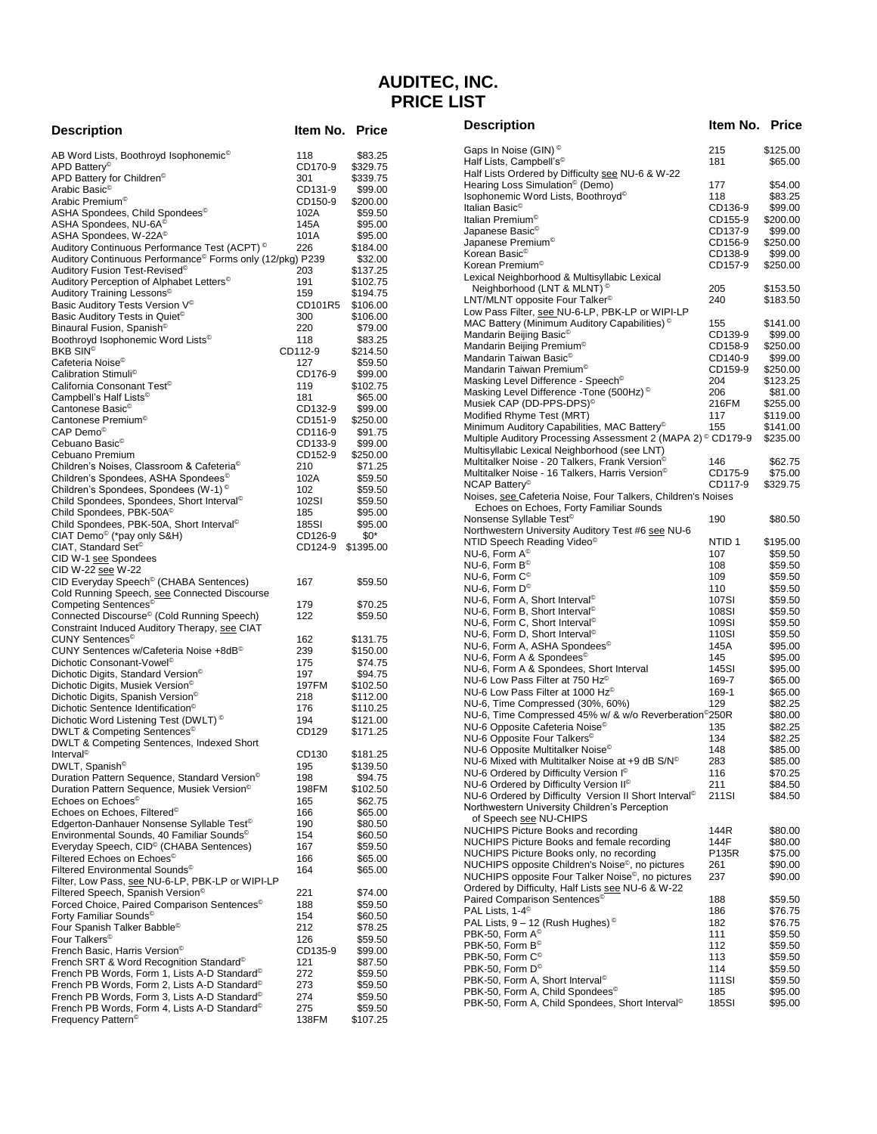# **AUDITEC, INC. PRICE LIST**

| <b>Description</b>                                                                                      | Item No. Price     |                      |
|---------------------------------------------------------------------------------------------------------|--------------------|----------------------|
| AB Word Lists, Boothroyd Isophonemic <sup>©</sup>                                                       | 118                | \$83.25              |
| APD Battery <sup>®</sup>                                                                                | CD170-9            | \$329.75             |
| APD Battery for Children <sup>®</sup>                                                                   | 301                | \$339.75             |
| Arabic Basic <sup>®</sup>                                                                               | CD131-9            | \$99.00              |
| Arabic Premium <sup>®</sup>                                                                             | CD150-9            | \$200.00             |
| ASHA Spondees, Child Spondees <sup>®</sup>                                                              | 102A               | \$59.50              |
| ASHA Spondees, NU-6A <sup>©</sup><br>ASHA Spondees, W-22A©                                              | 145A<br>101A       | \$95.00<br>\$95.00   |
| Auditory Continuous Performance Test (ACPT) <sup>©</sup>                                                | 226                | \$184.00             |
| Auditory Continuous Performance <sup>©</sup> Forms only (12/pkg) P239                                   |                    | \$32.00              |
| Auditory Fusion Test-Revised <sup>®</sup>                                                               | 203                | \$137.25             |
| Auditory Perception of Alphabet Letters <sup>®</sup>                                                    | 191                | \$102.75             |
| Auditory Training Lessons <sup>©</sup>                                                                  | 159                | \$194.75             |
| Basic Auditory Tests Version V <sup>®</sup>                                                             | CD101R5            | \$106.00             |
| Basic Auditory Tests in Quiet <sup>®</sup>                                                              | 300                | \$106.00             |
| Binaural Fusion, Spanish©<br>Boothroyd Isophonemic Word Lists <sup>®</sup>                              | 220<br>118         | \$79.00<br>\$83.25   |
| <b>BKB SIN<sup>©</sup></b>                                                                              | CD112-9            | \$214.50             |
| Cafeteria Noise <sup>©</sup>                                                                            | 127                | \$59.50              |
| Calibration Stimuli <sup>©</sup>                                                                        | CD176-9            | \$99.00              |
| California Consonant Test <sup>®</sup>                                                                  | 119                | \$102.75             |
| Campbell's Half Lists <sup>®</sup>                                                                      | 181                | \$65.00              |
| Cantonese Basic <sup>©</sup>                                                                            | CD132-9            | \$99.00              |
| Cantonese Premium <sup>®</sup><br>${\sf CAP}$ Demo $^\circledcirc$                                      | CD151-9<br>CD116-9 | \$250.00<br>\$91.75  |
| Cebuano Basic <sup>®</sup>                                                                              | CD133-9            | \$99.00              |
| Cebuano Premium                                                                                         | CD152-9            | \$250.00             |
| Children's Noises, Classroom & Cafeteria <sup>®</sup>                                                   | 210                | \$71.25              |
| Children's Spondees, ASHA Spondees©                                                                     | 102A               | \$59.50              |
| Children's Spondees, Spondees (W-1) <sup>©</sup>                                                        | 102                | \$59.50              |
| Child Spondees, Spondees, Short Interval <sup>®</sup>                                                   | 102SI              | \$59.50              |
| Child Spondees, PBK-50A <sup>©</sup>                                                                    | 185                | \$95.00              |
| Child Spondees, PBK-50A, Short Interval <sup>®</sup><br>CIAT Demo <sup>®</sup> (*pay only S&H)          | 185SI<br>CD126-9   | \$95.00<br>\$0*      |
| CIAT, Standard Set <sup>®</sup>                                                                         | CD124-9            | \$1395.00            |
| CID W-1 see Spondees                                                                                    |                    |                      |
| CID W-22 see W-22                                                                                       |                    |                      |
| CID Everyday Speech <sup>®</sup> (CHABA Sentences)                                                      | 167                | \$59.50              |
| Cold Running Speech, see Connected Discourse                                                            |                    |                      |
| Competing Sentences <sup>®</sup>                                                                        | 179                | \$70.25              |
| Connected Discourse <sup>©</sup> (Cold Running Speech)<br>Constraint Induced Auditory Therapy, see CIAT | 122                | \$59.50              |
| CUNY Sentences <sup>®</sup>                                                                             | 162                | \$131.75             |
| CUNY Sentences w/Cafeteria Noise +8dB <sup>®</sup>                                                      | 239                | \$150.00             |
| Dichotic Consonant-Vowel <sup>©</sup>                                                                   | 175                | \$74.75              |
| Dichotic Digits, Standard Version <sup>©</sup>                                                          | 197                | \$94.75              |
| Dichotic Digits, Musiek Version <sup>®</sup>                                                            | 197FM              | \$102.50             |
| Dichotic Digits, Spanish Version <sup>®</sup><br>Dichotic Sentence Identification <sup>®</sup>          | 218<br>176         | \$112.00<br>\$110.25 |
| Dichotic Word Listening Test (DWLT) <sup>©</sup>                                                        | 194                | \$121.00             |
| DWLT & Competing Sentences©                                                                             | CD129              | \$171.25             |
| DWLT & Competing Sentences, Indexed Short                                                               |                    |                      |
| Interval <sup>®</sup>                                                                                   | CD130              | \$181.25             |
| DWLT, Spanish <sup>®</sup>                                                                              | 195                | \$139.50             |
| Duration Pattern Sequence, Standard Version <sup>®</sup>                                                | 198                | \$94.75              |
| Duration Pattern Sequence, Musiek Version <sup>®</sup><br>Echoes on Echoes <sup>®</sup>                 | 198FM              | \$102.50             |
| Echoes on Echoes, Filtered <sup>®</sup>                                                                 | 165<br>166         | \$62.75<br>\$65.00   |
| Edgerton-Danhauer Nonsense Syllable Test <sup>®</sup>                                                   | 190                | \$80.50              |
| Environmental Sounds, 40 Familiar Sounds <sup>®</sup>                                                   | 154                | \$60.50              |
| Everyday Speech, CID <sup>©</sup> (CHABA Sentences)                                                     | 167                | \$59.50              |
| Filtered Echoes on Echoes <sup>®</sup>                                                                  | 166                | \$65.00              |
| Filtered Environmental Sounds <sup>®</sup><br>Filter, Low Pass, see NU-6-LP, PBK-LP or WIPI-LP          | 164                | \$65.00              |
| Filtered Speech, Spanish Version <sup>®</sup>                                                           | 221                | \$74.00              |
| Forced Choice, Paired Comparison Sentences <sup>®</sup>                                                 | 188                | \$59.50              |
| Forty Familiar Sounds <sup>®</sup><br>Four Spanish Talker Babble <sup>©</sup>                           | 154<br>212         | \$60.50<br>\$78.25   |
| Four Talkers <sup>®</sup>                                                                               | 126                | \$59.50              |
| French Basic, Harris Version <sup>®</sup>                                                               | CD135-9            | \$99.00              |
| French SRT & Word Recognition Standard <sup>®</sup>                                                     | 121                | \$87.50              |
| French PB Words, Form 1, Lists A-D Standard <sup>®</sup>                                                | 272                | \$59.50              |
| French PB Words, Form 2, Lists A-D Standard <sup>®</sup>                                                | 273                | \$59.50              |
| French PB Words, Form 3, Lists A-D Standard <sup>®</sup>                                                | 274                | \$59.50              |
| French PB Words, Form 4, Lists A-D Standard <sup>®</sup><br>Frequency Pattern <sup>®</sup>              | 275                | \$59.50              |
|                                                                                                         | 138FM              | \$107.25             |

| <b>Description</b>                                                                                                            | Item No. Price     |                      |
|-------------------------------------------------------------------------------------------------------------------------------|--------------------|----------------------|
| Gaps In Noise (GIN) <sup>©</sup>                                                                                              | 215                | \$125.00             |
| Half Lists, Campbell's <sup>®</sup>                                                                                           | 181                | \$65.00              |
| Half Lists Ordered by Difficulty see NU-6 & W-22<br>Hearing Loss Simulation <sup>®</sup> (Demo)                               | 177                | \$54.00              |
| Isophonemic Word Lists, Boothroyd <sup>®</sup>                                                                                | 118                | \$83.25              |
| Italian Basic <sup>®</sup>                                                                                                    | CD136-9            | \$99.00              |
| Italian Premium <sup>®</sup><br>Japanese Basic©                                                                               | CD155-9<br>CD137-9 | \$200.00<br>\$99.00  |
| Japanese Premium©                                                                                                             | CD156-9            | \$250.00             |
| Korean Basic <sup>®</sup><br>Korean Premium <sup>®</sup>                                                                      | CD138-9            | \$99.00              |
| Lexical Neighborhood & Multisyllabic Lexical                                                                                  | CD157-9            | \$250.00             |
| Neighborhood (LNT & MLNT) ©                                                                                                   | 205                | \$153.50             |
| LNT/MLNT opposite Four Talker <sup>©</sup>                                                                                    | 240                | \$183.50             |
| Low Pass Filter, see NU-6-LP, PBK-LP or WIPI-LP<br>MAC Battery (Minimum Auditory Capabilities) <sup>©</sup>                   | 155                | \$141.00             |
| Mandarin Beijing Basic <sup>®</sup>                                                                                           | CD139-9            | \$99.00              |
| Mandarin Beijing Premium <sup>®</sup>                                                                                         | CD158-9            | \$250.00             |
| Mandarin Taiwan Basic <sup>®</sup><br>Mandarin Taiwan Premium <sup>®</sup>                                                    | CD140-9<br>CD159-9 | \$99.00<br>\$250.00  |
| Masking Level Difference - Speech <sup>©</sup>                                                                                | 204                | \$123.25             |
| Masking Level Difference -Tone (500Hz) ©                                                                                      | 206                | \$81.00              |
| Musiek CAP (DD-PPS-DPS) <sup>©</sup><br>Modified Rhyme Test (MRT)                                                             | 216FM<br>117       | \$255.00<br>\$119.00 |
| Minimum Auditory Capabilities, MAC Battery <sup>®</sup>                                                                       | 155                | \$141.00             |
| Multiple Auditory Processing Assessment 2 (MAPA 2) <sup>©</sup> CD179-9                                                       |                    | \$235.00             |
| Multisyllabic Lexical Neighborhood (see LNT)<br>Multitalker Noise - 20 Talkers, Frank Version®                                | 146                | \$62.75              |
| Multitalker Noise - 16 Talkers, Harris Version <sup>®</sup>                                                                   | CD175-9            | \$75.00              |
| NCAP Battery <sup>©</sup>                                                                                                     | CD117-9            | \$329.75             |
| Noises, see Cafeteria Noise, Four Talkers, Children's Noises<br>Echoes on Echoes, Forty Familiar Sounds                       |                    |                      |
| Nonsense Syllable Test <sup>®</sup>                                                                                           | 190                | \$80.50              |
| Northwestern University Auditory Test #6 see NU-6                                                                             |                    |                      |
| NTID Speech Reading Video <sup>©</sup><br>NU-6, Form $A^{\odot}$                                                              | NTID 1<br>107      | \$195.00<br>\$59.50  |
| NU-6, Form $B^{\odot}$                                                                                                        | 108                | \$59.50              |
| NU-6, Form $\mathsf{C}^\circledcirc$                                                                                          | 109                | \$59.50              |
| NU-6, Form $D^{\odot}$<br>NU-6, Form A, Short Interval <sup>®</sup>                                                           | 110<br>107SI       | \$59.50<br>\$59.50   |
| NU-6, Form B, Short Interval <sup>©</sup>                                                                                     | 108SI              | \$59.50              |
| NU-6, Form C, Short Interval <sup>®</sup>                                                                                     | 109SI              | \$59.50              |
| NU-6, Form D, Short Interval <sup>©</sup><br>NU-6, Form A, ASHA Spondees <sup>®</sup>                                         | 110SI<br>145A      | \$59.50<br>\$95.00   |
| NU-6, Form A & Spondees <sup>©</sup>                                                                                          | 145                | \$95.00              |
| NU-6, Form A & Spondees, Short Interval                                                                                       | 145SI              | \$95.00              |
| NU-6 Low Pass Filter at 750 Hz <sup>®</sup><br>NU-6 Low Pass Filter at 1000 Hz®                                               | 169-7              | \$65.00<br>\$65.00   |
| NU-6, Time Compressed (30%, 60%)                                                                                              | 169-1<br>129       | \$82.25              |
| NU-6, Time Compressed 45% w/ & w/o Reverberation <sup>©</sup> 250R                                                            |                    | \$80.00              |
| NU-6 Opposite Cafeteria Noise <sup>©</sup>                                                                                    | 135                | \$82.25<br>\$82.25   |
| NU-6 Opposite Four Talkers <sup>®</sup><br>NU-6 Opposite Multitalker Noise <sup>©</sup>                                       | 134<br>148         | \$85.00              |
| NU-6 Mixed with Multitalker Noise at +9 dB S/N $^{\circ}$                                                                     | 283                | \$85.00              |
| NU-6 Ordered by Difficulty Version I <sup>®</sup>                                                                             | 116<br>211         | \$70.25              |
| NU-6 Ordered by Difficulty Version II <sup>®</sup><br>NU-6 Ordered by Difficulty Version II Short Interval <sup>®</sup>       | 211SI              | \$84.50<br>\$84.50   |
| Northwestern University Children's Perception                                                                                 |                    |                      |
| of Speech see NU-CHIPS<br><b>NUCHIPS Picture Books and recording</b>                                                          | 144R               | \$80.00              |
| NUCHIPS Picture Books and female recording                                                                                    | 144F               | \$80.00              |
| NUCHIPS Picture Books only, no recording                                                                                      | P135R              | \$75.00              |
| NUCHIPS opposite Children's Noise <sup>®</sup> , no pictures<br>NUCHIPS opposite Four Talker Noise <sup>®</sup> , no pictures | 261<br>237         | \$90.00<br>\$90.00   |
| Ordered by Difficulty, Half Lists see NU-6 & W-22                                                                             |                    |                      |
| Paired Comparison Sentences <sup>®</sup>                                                                                      | 188                | \$59.50              |
| PAL Lists, 1-4 <sup>©</sup><br>PAL Lists, $9 - 12$ (Rush Hughes) <sup>©</sup>                                                 | 186                | \$76.75<br>\$76.75   |
| PBK-50, Form A <sup>©</sup>                                                                                                   | 182<br>111         | \$59.50              |
| PBK-50, Form B <sup>®</sup>                                                                                                   | 112                | \$59.50              |
| PBK-50, Form C <sup>©</sup>                                                                                                   | 113                | \$59.50              |
| PBK-50, Form D <sup>®</sup><br>PBK-50, Form A, Short Interval <sup>®</sup>                                                    | 114<br>111SI       | \$59.50<br>\$59.50   |
| PBK-50, Form A, Child Spondees <sup>®</sup>                                                                                   | 185                | \$95.00              |
| PBK-50, Form A, Child Spondees, Short Interval <sup>®</sup>                                                                   | 185SI              | \$95.00              |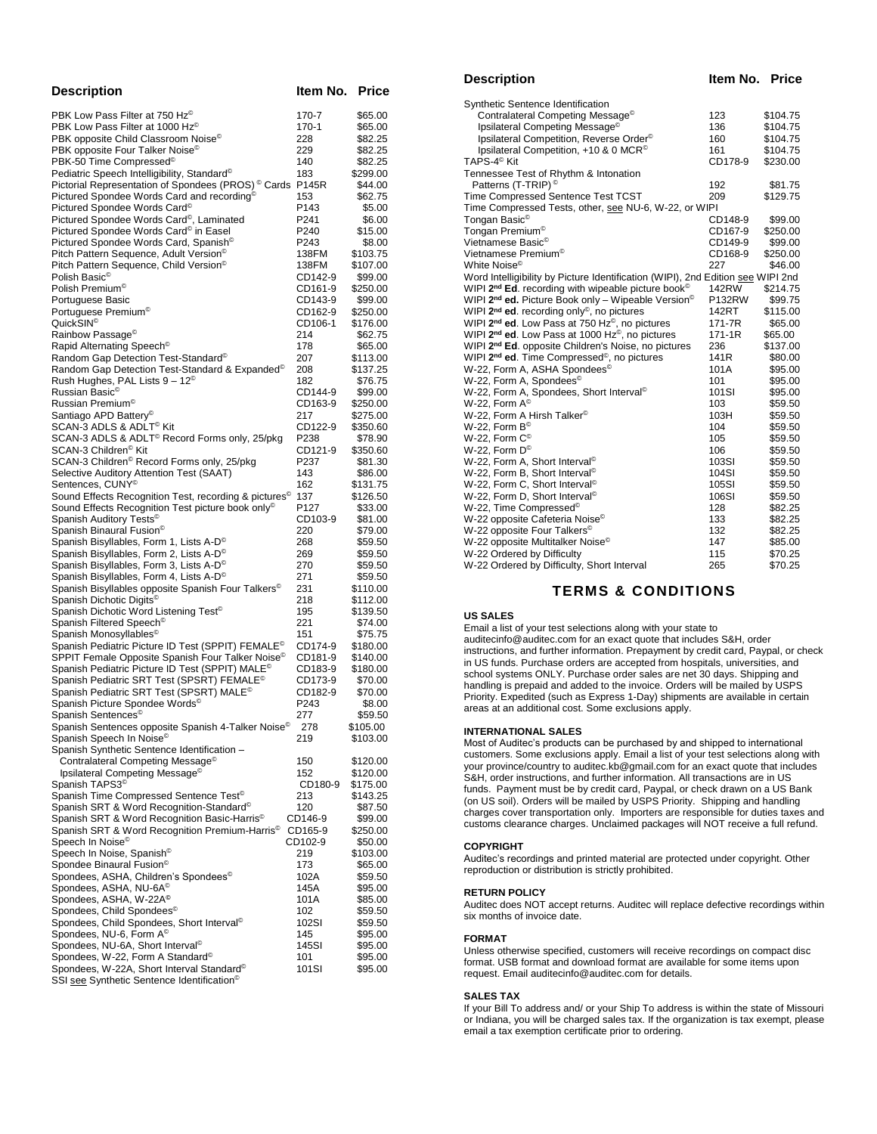| <b>Description</b>                                                                                    | ltem No.           | <b>Price</b>         |
|-------------------------------------------------------------------------------------------------------|--------------------|----------------------|
| PBK Low Pass Filter at 750 Hz®                                                                        | 170-7              | \$65.00              |
| PBK Low Pass Filter at 1000 Hz®                                                                       | 170-1              | \$65.00              |
| PBK opposite Child Classroom Noise <sup>®</sup>                                                       | 228                | \$82.25              |
| PBK opposite Four Talker Noise <sup>®</sup>                                                           | 229                | \$82.25              |
| PBK-50 Time Compressed <sup>®</sup>                                                                   | 140                | \$82.25              |
| Pediatric Speech Intelligibility, Standard <sup>®</sup>                                               | 183                | \$299.00             |
| Pictorial Representation of Spondees (PROS) <sup>©</sup> Cards P145R                                  |                    | \$44.00              |
| Pictured Spondee Words Card and recording <sup>®</sup><br>Pictured Spondee Words Card <sup>®</sup>    | 153<br>P143        | \$62.75<br>\$5.00    |
| Pictured Spondee Words Card <sup>®</sup> , Laminated                                                  | P241               | \$6.00               |
| Pictured Spondee Words Card <sup>®</sup> in Easel                                                     | P240               | \$15.00              |
| Pictured Spondee Words Card, Spanish <sup>®</sup>                                                     | P243               | \$8.00               |
| Pitch Pattern Sequence, Adult Version <sup>®</sup>                                                    | 138FM              | \$103.75             |
| Pitch Pattern Sequence, Child Version <sup>®</sup>                                                    | 138FM              | \$107.00             |
| Polish Basic <sup>®</sup>                                                                             | CD142-9            | \$99.00              |
| Polish Premium <sup>®</sup>                                                                           | CD161-9<br>CD143-9 | \$250.00             |
| Portuguese Basic<br>Portuguese Premium <sup>®</sup>                                                   | CD162-9            | \$99.00<br>\$250.00  |
| QuickSIN <sup>®</sup>                                                                                 | CD106-1            | \$176.00             |
| Rainbow Passage <sup>®</sup>                                                                          | 214                | \$62.75              |
| Rapid Alternating Speech <sup>®</sup>                                                                 | 178                | \$65.00              |
| Random Gap Detection Test-Standard <sup>®</sup>                                                       | 207                | \$113.00             |
| Random Gap Detection Test-Standard & Expanded <sup>®</sup>                                            | 208                | \$137.25             |
| Rush Hughes, PAL Lists $9-12^{\circ}$                                                                 | 182                | \$76.75              |
| Russian Basic <sup>©</sup>                                                                            | CD144-9            | \$99.00              |
| Russian Premium <sup>®</sup><br>Santiago APD Battery <sup>®</sup>                                     | CD163-9<br>217     | \$250.00<br>\$275.00 |
| SCAN-3 ADLS & ADLT <sup>©</sup> Kit                                                                   | CD122-9            | \$350.60             |
| SCAN-3 ADLS & ADLT <sup>®</sup> Record Forms only, 25/pkg                                             | P238               | \$78.90              |
| SCAN-3 Children <sup>©</sup> Kit                                                                      | CD121-9            | \$350.60             |
| SCAN-3 Children <sup>®</sup> Record Forms only, 25/pkg                                                | P237               | \$81.30              |
| Selective Auditory Attention Test (SAAT)                                                              | 143                | \$86.00              |
| Sentences, CUNY <sup>®</sup>                                                                          | 162                | \$131.75             |
| Sound Effects Recognition Test, recording & pictures <sup>©</sup>                                     | 137<br>P127        | \$126.50             |
| Sound Effects Recognition Test picture book only®<br>Spanish Auditory Tests <sup>®</sup>              | CD103-9            | \$33.00<br>\$81.00   |
| Spanish Binaural Fusion <sup>®</sup>                                                                  | 220                | \$79.00              |
| Spanish Bisyllables, Form 1, Lists A-D <sup>®</sup>                                                   | 268                | \$59.50              |
| Spanish Bisyllables, Form 2, Lists A-D <sup>®</sup>                                                   | 269                | \$59.50              |
| Spanish Bisyllables, Form 3, Lists A-D <sup>®</sup>                                                   | 270                | \$59.50              |
| Spanish Bisyllables, Form 4, Lists A-D <sup>®</sup>                                                   | 271                | \$59.50              |
| Spanish Bisyllables opposite Spanish Four Talkers <sup>©</sup>                                        | 231                | \$110.00             |
| Spanish Dichotic Digits <sup>®</sup><br>Spanish Dichotic Word Listening Test <sup>®</sup>             | 218<br>195         | \$112.00<br>\$139.50 |
| Spanish Filtered Speech <sup>®</sup>                                                                  | 221                | \$74.00              |
| Spanish Monosyllables <sup>®</sup>                                                                    | 151                | \$75.75              |
| Spanish Pediatric Picture ID Test (SPPIT) FEMALE <sup>©</sup>                                         | CD174-9            | \$180.00             |
| SPPIT Female Opposite Spanish Four Talker Noise <sup>®</sup>                                          | CD181-9            | \$140.00             |
| Spanish Pediatric Picture ID Test (SPPIT) MALE <sup>©</sup>                                           | CD183-9            | \$180.00             |
| Spanish Pediatric SRT Test (SPSRT) FEMALE <sup>©</sup>                                                | CD173-9            | \$70.00              |
| Spanish Pediatric SRT Test (SPSRT) MALE <sup>©</sup><br>Spanish Picture Spondee Words <sup>®</sup>    | CD182-9<br>P243    | \$70.00<br>\$8.00    |
| Spanish Sentences <sup>®</sup>                                                                        | 277                | \$59.50              |
| Spanish Sentences opposite Spanish 4-Talker Noise <sup>®</sup>                                        | 278                | \$105.00             |
| Spanish Speech In Noise <sup>®</sup>                                                                  | 219                | \$103.00             |
| Spanish Synthetic Sentence Identification -                                                           |                    |                      |
| Contralateral Competing Message <sup>®</sup>                                                          | 150                | \$120.00             |
| Ipsilateral Competing Message <sup>©</sup>                                                            | 152                | \$120.00             |
| Spanish TAPS3 <sup>®</sup><br>Spanish Time Compressed Sentence Test <sup>®</sup>                      | CD180-9<br>213     | \$175.00<br>\$143.25 |
| Spanish SRT & Word Recognition-Standard <sup>®</sup>                                                  | 120                | \$87.50              |
| Spanish SRT & Word Recognition Basic-Harris <sup>®</sup>                                              | CD146-9            | \$99.00              |
| Spanish SRT & Word Recognition Premium-Harris <sup>®</sup>                                            | CD165-9            | \$250.00             |
| Speech In Noise <sup>®</sup>                                                                          | CD102-9            | \$50.00              |
| Speech In Noise, Spanish <sup>®</sup>                                                                 | 219                | \$103.00             |
| Spondee Binaural Fusion <sup>®</sup>                                                                  | 173                | \$65.00              |
| Spondees, ASHA, Children's Spondees <sup>®</sup>                                                      | 102A               | \$59.50              |
| Spondees, ASHA, NU-6A <sup>©</sup><br>Spondees, ASHA, W-22A <sup>®</sup>                              | 145A<br>101A       | \$95.00<br>\$85.00   |
| Spondees, Child Spondees <sup>®</sup>                                                                 | 102                | \$59.50              |
| Spondees, Child Spondees, Short Interval <sup>®</sup>                                                 | 102SI              | \$59.50              |
| Spondees, NU-6, Form A <sup>®</sup>                                                                   |                    |                      |
|                                                                                                       | 145                | \$95.00              |
| Spondees, NU-6A, Short Interval <sup>®</sup>                                                          | 145SI              | \$95.00              |
| Spondees, W-22, Form A Standard <sup>®</sup><br>Spondees, W-22A, Short Interval Standard <sup>®</sup> | 101<br>101SI       | \$95.00<br>\$95.00   |

| Description                                                                     | Item No. Price |          |
|---------------------------------------------------------------------------------|----------------|----------|
| Synthetic Sentence Identification                                               |                |          |
| Contralateral Competing Message <sup>®</sup>                                    | 123            | \$104.75 |
| Ipsilateral Competing Message <sup>®</sup>                                      | 136            | \$104.75 |
| Ipsilateral Competition, Reverse Order <sup>®</sup>                             | 160            | \$104.75 |
| Ipsilateral Competition, +10 & 0 MCR <sup>®</sup>                               | 161            | \$104.75 |
| $\mathsf{TAPS}\text{-}\mathsf{4}^\circledcirc \mathsf{Kit}$                     | CD178-9        | \$230.00 |
| Tennessee Test of Rhythm & Intonation                                           |                |          |
| Patterns (T-TRIP) <sup>©</sup>                                                  | 192            | \$81.75  |
| Time Compressed Sentence Test TCST                                              | 209            | \$129.75 |
| Time Compressed Tests, other, see NU-6, W-22, or WIPI                           |                |          |
| Tongan Basic <sup>©</sup>                                                       | CD148-9        | \$99.00  |
| Tongan Premium <sup>©</sup>                                                     | CD167-9        | \$250.00 |
| Vietnamese Basic <sup>®</sup>                                                   | CD149-9        | \$99.00  |
| Vietnamese Premium <sup>®</sup>                                                 | CD168-9        | \$250.00 |
| White Noise <sup>©</sup>                                                        | 227            | \$46.00  |
| Word Intelligibility by Picture Identification (WIPI), 2nd Edition see WIPI 2nd |                |          |
| WIPI 2 <sup>nd</sup> Ed. recording with wipeable picture book <sup>©</sup>      | 142RW          | \$214.75 |
| WIPI 2 <sup>nd</sup> ed. Picture Book only - Wipeable Version <sup>©</sup>      | P132RW         | \$99.75  |
| WIPI 2 <sup>nd</sup> ed. recording only <sup>®</sup> , no pictures              | 142RT          | \$115.00 |
| WIPI 2 <sup>nd</sup> ed. Low Pass at 750 Hz <sup>®</sup> , no pictures          | 171-7R         | \$65.00  |
| WIPI 2 <sup>nd</sup> ed. Low Pass at 1000 Hz <sup>®</sup> , no pictures         | 171-1R         | \$65.00  |
| WIPI 2 <sup>nd</sup> Ed. opposite Children's Noise, no pictures                 | 236            | \$137.00 |
| WIPI 2 <sup>nd</sup> ed. Time Compressed <sup>®</sup> , no pictures             | 141R           | \$80.00  |
| W-22, Form A, ASHA Spondees <sup>©</sup>                                        | 101A           | \$95.00  |
| W-22, Form A, Spondees <sup>©</sup>                                             | 101            | \$95.00  |
| W-22, Form A, Spondees, Short Interval <sup>®</sup>                             | 101SI          | \$95.00  |
| W-22, Form $\mathsf{A}^\circledcirc$                                            | 103            | \$59.50  |
| W-22, Form A Hirsh Talker <sup>©</sup>                                          | 103H           | \$59.50  |
| W-22, Form $\mathsf{B}^\circledcirc$                                            | 104            | \$59.50  |
| W-22, Form $\mathsf{C}^\circledcirc$                                            | 105            | \$59.50  |
| W-22, Form $\mathsf{D}^\circledcirc$                                            | 106            | \$59.50  |
| W-22, Form A, Short Interval <sup>®</sup>                                       | 103SI          | \$59.50  |
| W-22, Form B, Short Interval <sup>®</sup>                                       | 104SI          | \$59.50  |
| W-22, Form C, Short Interval <sup>®</sup>                                       | 105SI          | \$59.50  |
| W-22, Form D, Short Interval <sup>©</sup>                                       | 106SI          | \$59.50  |
| W-22, Time Compressed©                                                          | 128            | \$82.25  |
| W-22 opposite Cafeteria Noise©                                                  | 133            | \$82.25  |
| W-22 opposite Four Talkers <sup>©</sup>                                         | 132            | \$82.25  |
| W-22 opposite Multitalker Noise <sup>©</sup>                                    | 147            | \$85.00  |
| W-22 Ordered by Difficulty                                                      | 115            | \$70.25  |
| W-22 Ordered by Difficulty, Short Interval                                      | 265            | \$70.25  |
|                                                                                 |                |          |

## **TERMS & CONDITIONS**

#### **US SALES**

Email a list of your test selections along with your state to auditecinfo@auditec.com for an exact quote that includes S&H, order instructions, and further information. Prepayment by credit card, Paypal, or check in US funds. Purchase orders are accepted from hospitals, universities, and school systems ONLY. Purchase order sales are net 30 days. Shipping and handling is prepaid and added to the invoice. Orders will be mailed by USPS Priority. Expedited (such as Express 1-Day) shipments are available in certain areas at an additional cost. Some exclusions apply.

### **INTERNATIONAL SALES**

Most of Auditec's products can be purchased by and shipped to international customers. Some exclusions apply. Email a list of your test selections along with your province/country to auditec.kb@gmail.com for an exact quote that includes S&H, order instructions, and further information. All transactions are in US funds. Payment must be by credit card, Paypal, or check drawn on a US Bank (on US soil). Orders will be mailed by USPS Priority. Shipping and handling charges cover transportation only. Importers are responsible for duties taxes and customs clearance charges. Unclaimed packages will NOT receive a full refund.

#### **COPYRIGHT**

Auditec's recordings and printed material are protected under copyright. Other reproduction or distribution is strictly prohibited.

#### **RETURN POLICY**

Auditec does NOT accept returns. Auditec will replace defective recordings within six months of invoice date.

#### **FORMAT**

Unless otherwise specified, customers will receive recordings on compact disc format. USB format and download format are available for some items upon request. Email auditecinfo@auditec.com for details.

#### **SALES TAX**

If your Bill To address and/ or your Ship To address is within the state of Missouri or Indiana, you will be charged sales tax. If the organization is tax exempt, please email a tax exemption certificate prior to ordering.